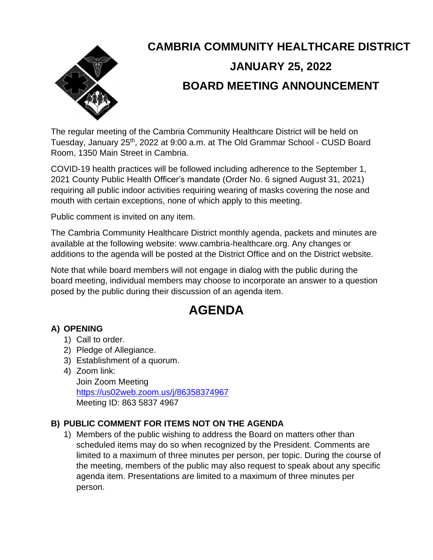

# **CAMBRIA COMMUNITY HEALTHCARE DISTRICT JANUARY 25, 2022 BOARD MEETING ANNOUNCEMENT**

The regular meeting of the Cambria Community Healthcare District will be held on Tuesday, January 25<sup>th</sup>, 2022 at 9:00 a.m. at The Old Grammar School - CUSD Board Room, 1350 Main Street in Cambria.

COVID-19 health practices will be followed including adherence to the September 1, 2021 County Public Health Officer's mandate (Order No. 6 signed August 31, 2021) requiring all public indoor activities requiring wearing of masks covering the nose and mouth with certain exceptions, none of which apply to this meeting.

Public comment is invited on any item.

The Cambria Community Healthcare District monthly agenda, packets and minutes are available at the following website: www.cambria-healthcare.org. Any changes or additions to the agenda will be posted at the District Office and on the District website.

Note that while board members will not engage in dialog with the public during the board meeting, individual members may choose to incorporate an answer to a question posed by the public during their discussion of an agenda item.

# **AGENDA**

# **A) OPENING**

- 1) Call to order.
- 2) Pledge of Allegiance.
- 3) Establishment of a quorum.
- 4) Zoom link:

Join Zoom Meeting <https://us02web.zoom.us/j/86358374967> Meeting ID: 863 5837 4967

# **B) PUBLIC COMMENT FOR ITEMS NOT ON THE AGENDA**

1) Members of the public wishing to address the Board on matters other than scheduled items may do so when recognized by the President. Comments are limited to a maximum of three minutes per person, per topic. During the course of the meeting, members of the public may also request to speak about any specific agenda item. Presentations are limited to a maximum of three minutes per person.